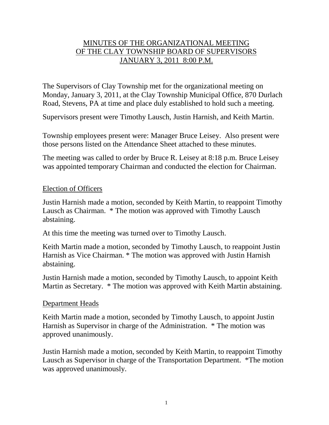# MINUTES OF THE ORGANIZATIONAL MEETING OF THE CLAY TOWNSHIP BOARD OF SUPERVISORS JANUARY 3, 2011 8:00 P.M.

The Supervisors of Clay Township met for the organizational meeting on Monday, January 3, 2011, at the Clay Township Municipal Office, 870 Durlach Road, Stevens, PA at time and place duly established to hold such a meeting.

Supervisors present were Timothy Lausch, Justin Harnish, and Keith Martin.

Township employees present were: Manager Bruce Leisey. Also present were those persons listed on the Attendance Sheet attached to these minutes.

The meeting was called to order by Bruce R. Leisey at 8:18 p.m. Bruce Leisey was appointed temporary Chairman and conducted the election for Chairman.

#### Election of Officers

Justin Harnish made a motion, seconded by Keith Martin, to reappoint Timothy Lausch as Chairman. \* The motion was approved with Timothy Lausch abstaining.

At this time the meeting was turned over to Timothy Lausch.

Keith Martin made a motion, seconded by Timothy Lausch, to reappoint Justin Harnish as Vice Chairman. \* The motion was approved with Justin Harnish abstaining.

Justin Harnish made a motion, seconded by Timothy Lausch, to appoint Keith Martin as Secretary. \* The motion was approved with Keith Martin abstaining.

## Department Heads

Keith Martin made a motion, seconded by Timothy Lausch, to appoint Justin Harnish as Supervisor in charge of the Administration. \* The motion was approved unanimously.

Justin Harnish made a motion, seconded by Keith Martin, to reappoint Timothy Lausch as Supervisor in charge of the Transportation Department. \*The motion was approved unanimously.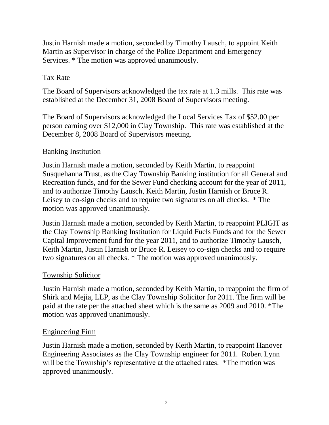Justin Harnish made a motion, seconded by Timothy Lausch, to appoint Keith Martin as Supervisor in charge of the Police Department and Emergency Services. \* The motion was approved unanimously.

# Tax Rate

The Board of Supervisors acknowledged the tax rate at 1.3 mills. This rate was established at the December 31, 2008 Board of Supervisors meeting.

The Board of Supervisors acknowledged the Local Services Tax of \$52.00 per person earning over \$12,000 in Clay Township. This rate was established at the December 8, 2008 Board of Supervisors meeting.

# Banking Institution

Justin Harnish made a motion, seconded by Keith Martin, to reappoint Susquehanna Trust, as the Clay Township Banking institution for all General and Recreation funds, and for the Sewer Fund checking account for the year of 2011, and to authorize Timothy Lausch, Keith Martin, Justin Harnish or Bruce R. Leisey to co-sign checks and to require two signatures on all checks. \* The motion was approved unanimously.

Justin Harnish made a motion, seconded by Keith Martin, to reappoint PLIGIT as the Clay Township Banking Institution for Liquid Fuels Funds and for the Sewer Capital Improvement fund for the year 2011, and to authorize Timothy Lausch, Keith Martin, Justin Harnish or Bruce R. Leisey to co-sign checks and to require two signatures on all checks. \* The motion was approved unanimously.

## Township Solicitor

Justin Harnish made a motion, seconded by Keith Martin, to reappoint the firm of Shirk and Mejia, LLP, as the Clay Township Solicitor for 2011. The firm will be paid at the rate per the attached sheet which is the same as 2009 and 2010. \*The motion was approved unanimously.

## Engineering Firm

Justin Harnish made a motion, seconded by Keith Martin, to reappoint Hanover Engineering Associates as the Clay Township engineer for 2011. Robert Lynn will be the Township's representative at the attached rates. \*The motion was approved unanimously.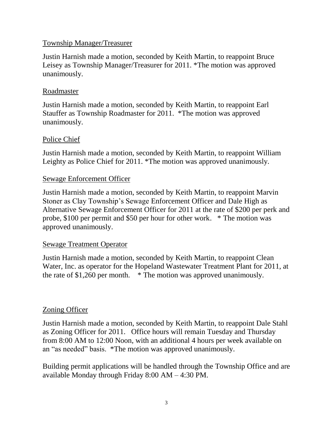## Township Manager/Treasurer

Justin Harnish made a motion, seconded by Keith Martin, to reappoint Bruce Leisey as Township Manager/Treasurer for 2011. \*The motion was approved unanimously.

# Roadmaster

Justin Harnish made a motion, seconded by Keith Martin, to reappoint Earl Stauffer as Township Roadmaster for 2011. \*The motion was approved unanimously.

# Police Chief

Justin Harnish made a motion, seconded by Keith Martin, to reappoint William Leighty as Police Chief for 2011. \*The motion was approved unanimously.

# Sewage Enforcement Officer

Justin Harnish made a motion, seconded by Keith Martin, to reappoint Marvin Stoner as Clay Township's Sewage Enforcement Officer and Dale High as Alternative Sewage Enforcement Officer for 2011 at the rate of \$200 per perk and probe, \$100 per permit and \$50 per hour for other work. \* The motion was approved unanimously.

# Sewage Treatment Operator

Justin Harnish made a motion, seconded by Keith Martin, to reappoint Clean Water, Inc. as operator for the Hopeland Wastewater Treatment Plant for 2011, at the rate of \$1,260 per month. \* The motion was approved unanimously.

# Zoning Officer

Justin Harnish made a motion, seconded by Keith Martin, to reappoint Dale Stahl as Zoning Officer for 2011. Office hours will remain Tuesday and Thursday from 8:00 AM to 12:00 Noon, with an additional 4 hours per week available on an "as needed" basis. \*The motion was approved unanimously.

Building permit applications will be handled through the Township Office and are available Monday through Friday 8:00 AM – 4:30 PM.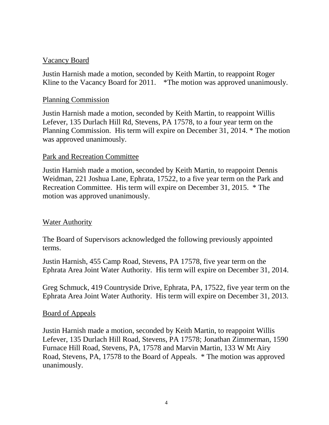#### Vacancy Board

Justin Harnish made a motion, seconded by Keith Martin, to reappoint Roger Kline to the Vacancy Board for 2011. \*The motion was approved unanimously.

#### Planning Commission

Justin Harnish made a motion, seconded by Keith Martin, to reappoint Willis Lefever, 135 Durlach Hill Rd, Stevens, PA 17578, to a four year term on the Planning Commission. His term will expire on December 31, 2014. \* The motion was approved unanimously.

#### Park and Recreation Committee

Justin Harnish made a motion, seconded by Keith Martin, to reappoint Dennis Weidman, 221 Joshua Lane, Ephrata, 17522, to a five year term on the Park and Recreation Committee. His term will expire on December 31, 2015. \* The motion was approved unanimously.

## **Water Authority**

The Board of Supervisors acknowledged the following previously appointed terms.

Justin Harnish, 455 Camp Road, Stevens, PA 17578, five year term on the Ephrata Area Joint Water Authority. His term will expire on December 31, 2014.

Greg Schmuck, 419 Countryside Drive, Ephrata, PA, 17522, five year term on the Ephrata Area Joint Water Authority. His term will expire on December 31, 2013.

#### Board of Appeals

Justin Harnish made a motion, seconded by Keith Martin, to reappoint Willis Lefever, 135 Durlach Hill Road, Stevens, PA 17578; Jonathan Zimmerman, 1590 Furnace Hill Road, Stevens, PA, 17578 and Marvin Martin, 133 W Mt Airy Road, Stevens, PA, 17578 to the Board of Appeals. \* The motion was approved unanimously.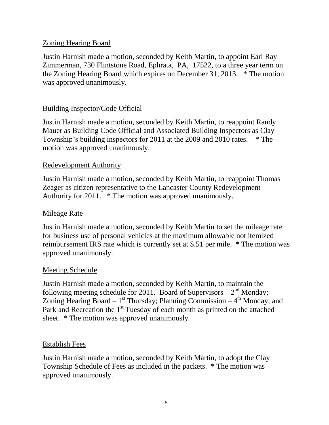## Zoning Hearing Board

Justin Harnish made a motion, seconded by Keith Martin, to appoint Earl Ray Zimmerman, 730 Flintstone Road, Ephrata, PA, 17522, to a three year term on the Zoning Hearing Board which expires on December 31, 2013. \* The motion was approved unanimously.

# Building Inspector/Code Official

Justin Harnish made a motion, seconded by Keith Martin, to reappoint Randy Mauer as Building Code Official and Associated Building Inspectors as Clay Township's building inspectors for 2011 at the 2009 and 2010 rates. \* The motion was approved unanimously.

## Redevelopment Authority

Justin Harnish made a motion, seconded by Keith Martin, to reappoint Thomas Zeager as citizen representative to the Lancaster County Redevelopment Authority for 2011. \* The motion was approved unanimously.

#### Mileage Rate

Justin Harnish made a motion, seconded by Keith Martin to set the mileage rate for business use of personal vehicles at the maximum allowable not itemized reimbursement IRS rate which is currently set at \$.51 per mile. \* The motion was approved unanimously.

#### Meeting Schedule

Justin Harnish made a motion, seconded by Keith Martin, to maintain the following meeting schedule for 2011. Board of Supervisors  $-2<sup>nd</sup>$  Monday; Zoning Hearing Board  $-1^{st}$  Thursday; Planning Commission  $-4^{th}$  Monday; and Park and Recreation the 1<sup>st</sup> Tuesday of each month as printed on the attached sheet. \* The motion was approved unanimously.

#### Establish Fees

Justin Harnish made a motion, seconded by Keith Martin, to adopt the Clay Township Schedule of Fees as included in the packets. \* The motion was approved unanimously.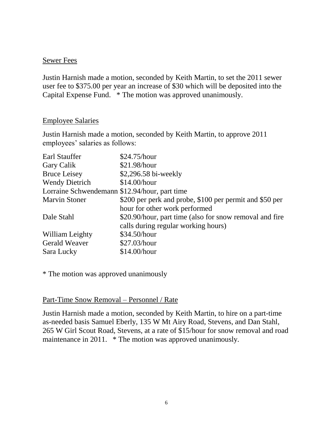#### Sewer Fees

Justin Harnish made a motion, seconded by Keith Martin, to set the 2011 sewer user fee to \$375.00 per year an increase of \$30 which will be deposited into the Capital Expense Fund. \* The motion was approved unanimously.

#### Employee Salaries

Justin Harnish made a motion, seconded by Keith Martin, to approve 2011 employees' salaries as follows:

| Earl Stauffer                                 | \$24.75/hour                                            |
|-----------------------------------------------|---------------------------------------------------------|
| Gary Calik                                    | \$21.98/hour                                            |
| <b>Bruce Leisey</b>                           | \$2,296.58 bi-weekly                                    |
| <b>Wendy Dietrich</b>                         | \$14.00/hour                                            |
| Lorraine Schwendemann \$12.94/hour, part time |                                                         |
| <b>Marvin Stoner</b>                          | \$200 per perk and probe, \$100 per permit and \$50 per |
|                                               | hour for other work performed                           |
| Dale Stahl                                    | \$20.90/hour, part time (also for snow removal and fire |
|                                               | calls during regular working hours)                     |
| William Leighty                               | \$34.50/hour                                            |
| <b>Gerald Weaver</b>                          | \$27.03/hour                                            |
| Sara Lucky                                    | \$14.00/hour                                            |

\* The motion was approved unanimously

#### Part-Time Snow Removal – Personnel / Rate

Justin Harnish made a motion, seconded by Keith Martin, to hire on a part-time as-needed basis Samuel Eberly, 135 W Mt Airy Road, Stevens, and Dan Stahl, 265 W Girl Scout Road, Stevens, at a rate of \$15/hour for snow removal and road maintenance in 2011. \* The motion was approved unanimously.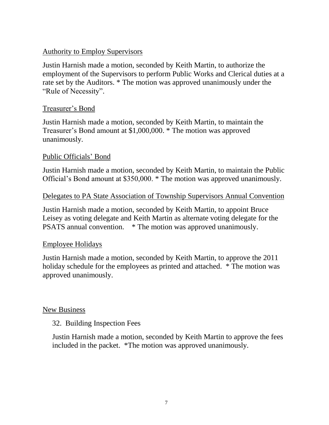# Authority to Employ Supervisors

Justin Harnish made a motion, seconded by Keith Martin, to authorize the employment of the Supervisors to perform Public Works and Clerical duties at a rate set by the Auditors. \* The motion was approved unanimously under the "Rule of Necessity".

# Treasurer's Bond

Justin Harnish made a motion, seconded by Keith Martin, to maintain the Treasurer's Bond amount at \$1,000,000. \* The motion was approved unanimously.

# Public Officials' Bond

Justin Harnish made a motion, seconded by Keith Martin, to maintain the Public Official's Bond amount at \$350,000. \* The motion was approved unanimously.

#### Delegates to PA State Association of Township Supervisors Annual Convention

Justin Harnish made a motion, seconded by Keith Martin, to appoint Bruce Leisey as voting delegate and Keith Martin as alternate voting delegate for the PSATS annual convention. \* The motion was approved unanimously.

## Employee Holidays

Justin Harnish made a motion, seconded by Keith Martin, to approve the 2011 holiday schedule for the employees as printed and attached. \* The motion was approved unanimously.

## New Business

## 32. Building Inspection Fees

Justin Harnish made a motion, seconded by Keith Martin to approve the fees included in the packet. \*The motion was approved unanimously.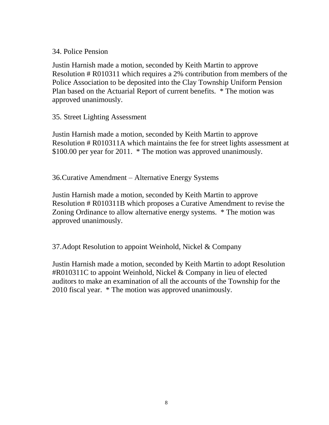## 34. Police Pension

Justin Harnish made a motion, seconded by Keith Martin to approve Resolution # R010311 which requires a 2% contribution from members of the Police Association to be deposited into the Clay Township Uniform Pension Plan based on the Actuarial Report of current benefits. \* The motion was approved unanimously.

# 35. Street Lighting Assessment

Justin Harnish made a motion, seconded by Keith Martin to approve Resolution # R010311A which maintains the fee for street lights assessment at \$100.00 per year for 2011. \* The motion was approved unanimously.

36.Curative Amendment – Alternative Energy Systems

Justin Harnish made a motion, seconded by Keith Martin to approve Resolution # R010311B which proposes a Curative Amendment to revise the Zoning Ordinance to allow alternative energy systems. \* The motion was approved unanimously.

37.Adopt Resolution to appoint Weinhold, Nickel & Company

Justin Harnish made a motion, seconded by Keith Martin to adopt Resolution #R010311C to appoint Weinhold, Nickel & Company in lieu of elected auditors to make an examination of all the accounts of the Township for the 2010 fiscal year. \* The motion was approved unanimously.